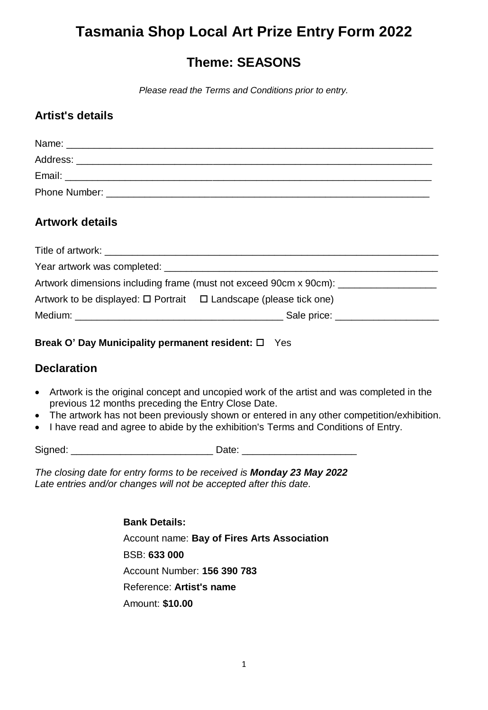# **Tasmania Shop Local Art Prize Entry Form 2022**

### **Theme: SEASONS**

*Please read the Terms and Conditions prior to entry.*

### **Artist's details**

| Name:    |  |
|----------|--|
| Address: |  |
| Email:   |  |
|          |  |

### **Artwork details**

| Year artwork was completed: Next Assembly and Assembly Assembly Assembly Assembly Assembly Assembly |                                                  |  |
|-----------------------------------------------------------------------------------------------------|--------------------------------------------------|--|
| Artwork dimensions including frame (must not exceed 90cm x 90cm):                                   |                                                  |  |
| Artwork to be displayed: $\square$ Portrait $\square$ Landscape (please tick one)                   |                                                  |  |
|                                                                                                     | Sale price: <u>contract and the sale price</u> : |  |

#### **Break O' Day Municipality permanent resident:** □ Yes

### **Declaration**

- Artwork is the original concept and uncopied work of the artist and was completed in the previous 12 months preceding the Entry Close Date.
- The artwork has not been previously shown or entered in any other competition/exhibition.
- I have read and agree to abide by the exhibition's Terms and Conditions of Entry.

Signed: \_\_\_\_\_\_\_\_\_\_\_\_\_\_\_\_\_\_\_\_\_\_\_\_\_\_ Date: \_\_\_\_\_\_\_\_\_\_\_\_\_\_\_\_\_\_\_\_\_

*The closing date for entry forms to be received is Monday 23 May 2022 Late entries and/or changes will not be accepted after this date.* 

> **Bank Details:** Account name: **Bay of Fires Arts Association**  BSB: **633 000**  Account Number: **156 390 783**  Reference: **Artist's name** Amount: **\$10.00**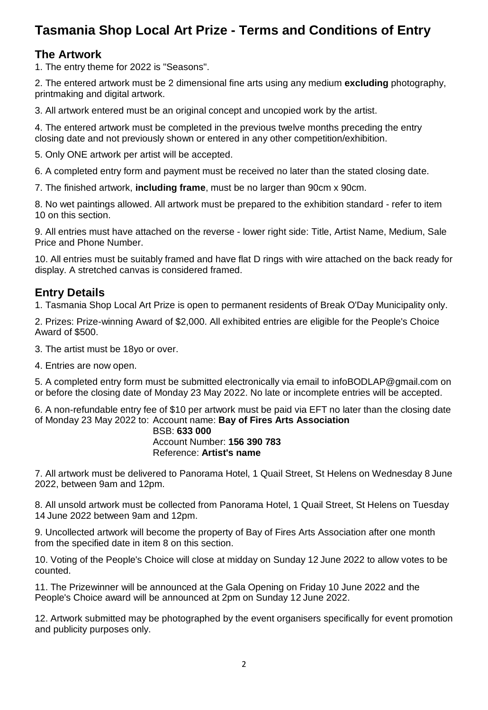## **Tasmania Shop Local Art Prize - Terms and Conditions of Entry**

### **The Artwork**

1. The entry theme for 2022 is "Seasons".

2. The entered artwork must be 2 dimensional fine arts using any medium **excluding** photography, printmaking and digital artwork.

3. All artwork entered must be an original concept and uncopied work by the artist.

4. The entered artwork must be completed in the previous twelve months preceding the entry closing date and not previously shown or entered in any other competition/exhibition.

5. Only ONE artwork per artist will be accepted.

6. A completed entry form and payment must be received no later than the stated closing date.

7. The finished artwork, **including frame**, must be no larger than 90cm x 90cm.

8. No wet paintings allowed. All artwork must be prepared to the exhibition standard - refer to item 10 on this section.

9. All entries must have attached on the reverse - lower right side: Title, Artist Name, Medium, Sale Price and Phone Number.

10. All entries must be suitably framed and have flat D rings with wire attached on the back ready for display. A stretched canvas is considered framed.

### **Entry Details**

1. Tasmania Shop Local Art Prize is open to permanent residents of Break O'Day Municipality only.

2. Prizes: Prize-winning Award of \$2,000. All exhibited entries are eligible for the People's Choice Award of \$500.

3. The artist must be 18yo or over.

4. Entries are now open.

5. A completed entry form must be submitted electronically via email to infoBODLAP@gmail.com on or before the closing date of Monday 23 May 2022. No late or incomplete entries will be accepted.

6. A non-refundable entry fee of \$10 per artwork must be paid via EFT no later than the closing date of Monday 23 May 2022 to: Account name: **Bay of Fires Arts Association** 

#### BSB: **633 000**  Account Number: **156 390 783**  Reference: **Artist's name**

7. All artwork must be delivered to Panorama Hotel, 1 Quail Street, St Helens on Wednesday 8 June 2022, between 9am and 12pm.

8. All unsold artwork must be collected from Panorama Hotel, 1 Quail Street, St Helens on Tuesday 14 June 2022 between 9am and 12pm.

9. Uncollected artwork will become the property of Bay of Fires Arts Association after one month from the specified date in item 8 on this section.

10. Voting of the People's Choice will close at midday on Sunday 12 June 2022 to allow votes to be counted.

11. The Prizewinner will be announced at the Gala Opening on Friday 10 June 2022 and the People's Choice award will be announced at 2pm on Sunday 12 June 2022.

12. Artwork submitted may be photographed by the event organisers specifically for event promotion and publicity purposes only.